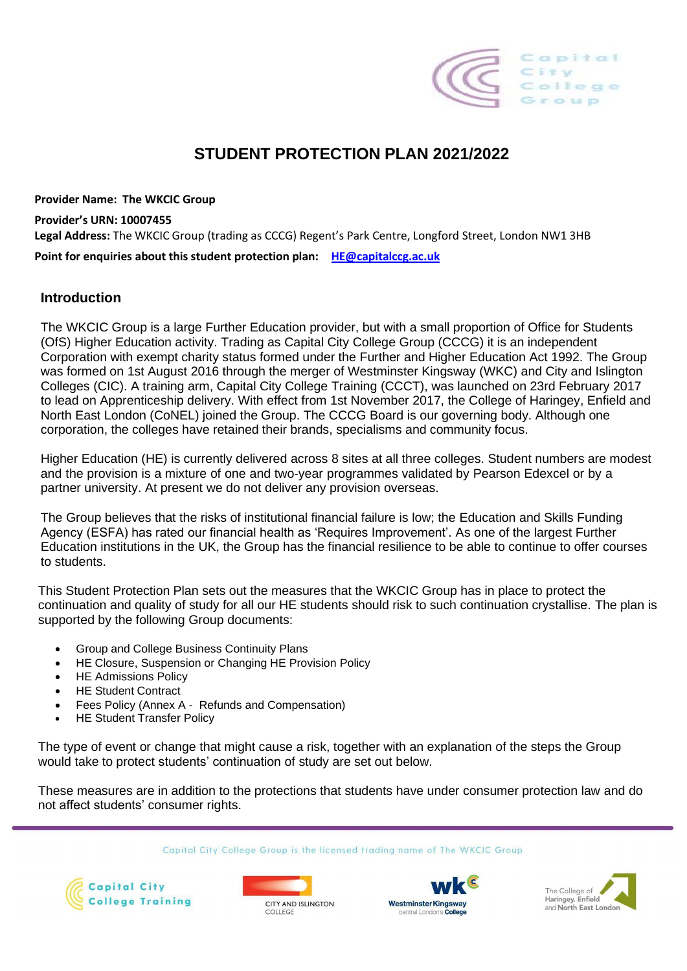

# **STUDENT PROTECTION PLAN 2021/2022**

**Provider Name: The WKCIC Group Provider's URN: 10007455 Legal Address:** The WKCIC Group (trading as CCCG) Regent's Park Centre, Longford Street, London NW1 3HB **Point for enquiries about this student protection plan: [HE@capitalccg.ac.uk](mailto:HE@capitalccg.ac.uk)**

#### **Introduction**

The WKCIC Group is a large Further Education provider, but with a small proportion of Office for Students (OfS) Higher Education activity. Trading as Capital City College Group (CCCG) it is an independent Corporation with exempt charity status formed under the Further and Higher Education Act 1992. The Group was formed on 1st August 2016 through the merger of Westminster Kingsway (WKC) and City and Islington Colleges (CIC). A training arm, Capital City College Training (CCCT), was launched on 23rd February 2017 to lead on Apprenticeship delivery. With effect from 1st November 2017, the College of Haringey, Enfield and North East London (CoNEL) joined the Group. The CCCG Board is our governing body. Although one corporation, the colleges have retained their brands, specialisms and community focus.

Higher Education (HE) is currently delivered across 8 sites at all three colleges. Student numbers are modest and the provision is a mixture of one and two-year programmes validated by Pearson Edexcel or by a partner university. At present we do not deliver any provision overseas.

The Group believes that the risks of institutional financial failure is low; the Education and Skills Funding Agency (ESFA) has rated our financial health as 'Requires Improvement'. As one of the largest Further Education institutions in the UK, the Group has the financial resilience to be able to continue to offer courses to students.

This Student Protection Plan sets out the measures that the WKCIC Group has in place to protect the continuation and quality of study for all our HE students should risk to such continuation crystallise. The plan is supported by the following Group documents:

- Group and College Business Continuity Plans
- HE Closure, Suspension or Changing HE Provision Policy
- HE Admissions Policy
- **HE Student Contract**
- Fees Policy (Annex A Refunds and Compensation)
- **HE Student Transfer Policy**

The type of event or change that might cause a risk, together with an explanation of the steps the Group would take to protect students' continuation of study are set out below.

These measures are in addition to the protections that students have under consumer protection law and do not affect students' consumer rights.







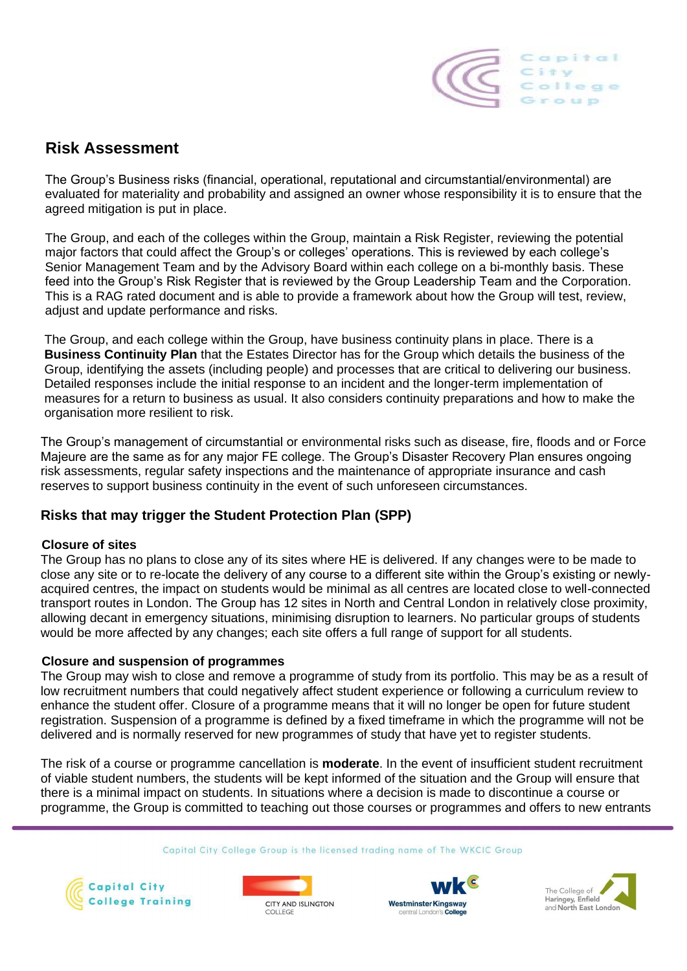

## **Risk Assessment**

The Group's Business risks (financial, operational, reputational and circumstantial/environmental) are evaluated for materiality and probability and assigned an owner whose responsibility it is to ensure that the agreed mitigation is put in place.

The Group, and each of the colleges within the Group, maintain a Risk Register, reviewing the potential major factors that could affect the Group's or colleges' operations. This is reviewed by each college's Senior Management Team and by the Advisory Board within each college on a bi-monthly basis. These feed into the Group's Risk Register that is reviewed by the Group Leadership Team and the Corporation. This is a RAG rated document and is able to provide a framework about how the Group will test, review, adjust and update performance and risks.

The Group, and each college within the Group, have business continuity plans in place. There is a **Business Continuity Plan** that the Estates Director has for the Group which details the business of the Group, identifying the assets (including people) and processes that are critical to delivering our business. Detailed responses include the initial response to an incident and the longer-term implementation of measures for a return to business as usual. It also considers continuity preparations and how to make the organisation more resilient to risk.

The Group's management of circumstantial or environmental risks such as disease, fire, floods and or Force Majeure are the same as for any major FE college. The Group's Disaster Recovery Plan ensures ongoing risk assessments, regular safety inspections and the maintenance of appropriate insurance and cash reserves to support business continuity in the event of such unforeseen circumstances.

### **Risks that may trigger the Student Protection Plan (SPP)**

#### **Closure of sites**

The Group has no plans to close any of its sites where HE is delivered. If any changes were to be made to close any site or to re-locate the delivery of any course to a different site within the Group's existing or newlyacquired centres, the impact on students would be minimal as all centres are located close to well-connected transport routes in London. The Group has 12 sites in North and Central London in relatively close proximity, allowing decant in emergency situations, minimising disruption to learners. No particular groups of students would be more affected by any changes; each site offers a full range of support for all students.

#### **Closure and suspension of programmes**

The Group may wish to close and remove a programme of study from its portfolio. This may be as a result of low recruitment numbers that could negatively affect student experience or following a curriculum review to enhance the student offer. Closure of a programme means that it will no longer be open for future student registration. Suspension of a programme is defined by a fixed timeframe in which the programme will not be delivered and is normally reserved for new programmes of study that have yet to register students.

The risk of a course or programme cancellation is **moderate**. In the event of insufficient student recruitment of viable student numbers, the students will be kept informed of the situation and the Group will ensure that there is a minimal impact on students. In situations where a decision is made to discontinue a course or programme, the Group is committed to teaching out those courses or programmes and offers to new entrants







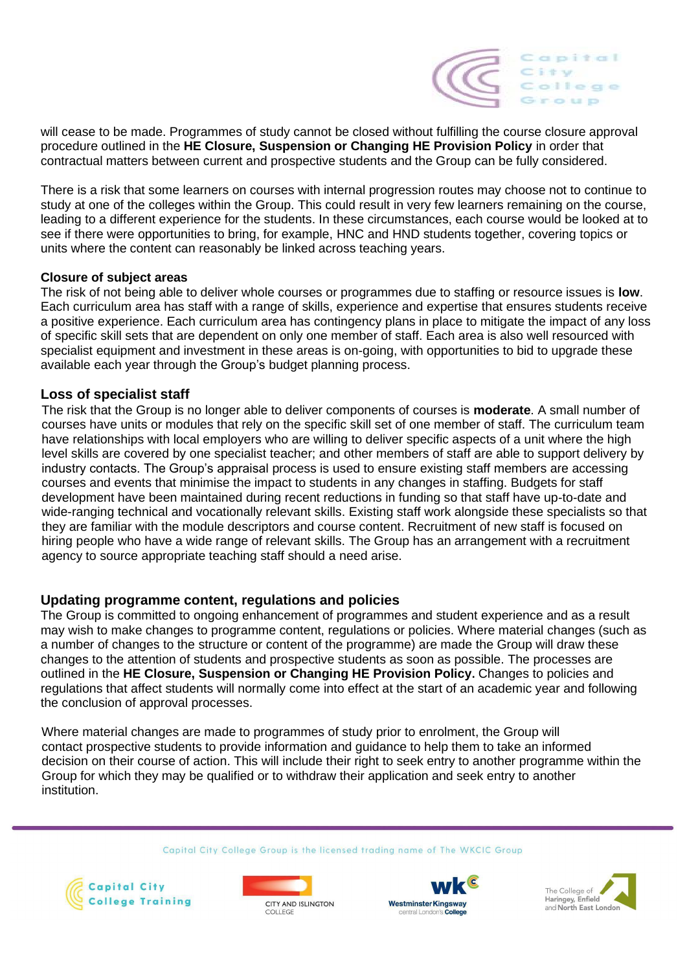

will cease to be made. Programmes of study cannot be closed without fulfilling the course closure approval procedure outlined in the **HE Closure, Suspension or Changing HE Provision Policy** in order that contractual matters between current and prospective students and the Group can be fully considered.

There is a risk that some learners on courses with internal progression routes may choose not to continue to study at one of the colleges within the Group. This could result in very few learners remaining on the course, leading to a different experience for the students. In these circumstances, each course would be looked at to see if there were opportunities to bring, for example, HNC and HND students together, covering topics or units where the content can reasonably be linked across teaching years.

#### **Closure of subject areas**

The risk of not being able to deliver whole courses or programmes due to staffing or resource issues is **low**. Each curriculum area has staff with a range of skills, experience and expertise that ensures students receive a positive experience. Each curriculum area has contingency plans in place to mitigate the impact of any loss of specific skill sets that are dependent on only one member of staff. Each area is also well resourced with specialist equipment and investment in these areas is on-going, with opportunities to bid to upgrade these available each year through the Group's budget planning process.

#### **Loss of specialist staff**

The risk that the Group is no longer able to deliver components of courses is **moderate**. A small number of courses have units or modules that rely on the specific skill set of one member of staff. The curriculum team have relationships with local employers who are willing to deliver specific aspects of a unit where the high level skills are covered by one specialist teacher; and other members of staff are able to support delivery by industry contacts. The Group's appraisal process is used to ensure existing staff members are accessing courses and events that minimise the impact to students in any changes in staffing. Budgets for staff development have been maintained during recent reductions in funding so that staff have up-to-date and wide-ranging technical and vocationally relevant skills. Existing staff work alongside these specialists so that they are familiar with the module descriptors and course content. Recruitment of new staff is focused on hiring people who have a wide range of relevant skills. The Group has an arrangement with a recruitment agency to source appropriate teaching staff should a need arise.

#### **Updating programme content, regulations and policies**

The Group is committed to ongoing enhancement of programmes and student experience and as a result may wish to make changes to programme content, regulations or policies. Where material changes (such as a number of changes to the structure or content of the programme) are made the Group will draw these changes to the attention of students and prospective students as soon as possible. The processes are outlined in the **HE Closure, Suspension or Changing HE Provision Policy.** Changes to policies and regulations that affect students will normally come into effect at the start of an academic year and following the conclusion of approval processes.

Where material changes are made to programmes of study prior to enrolment, the Group will contact prospective students to provide information and guidance to help them to take an informed decision on their course of action. This will include their right to seek entry to another programme within the Group for which they may be qualified or to withdraw their application and seek entry to another institution.







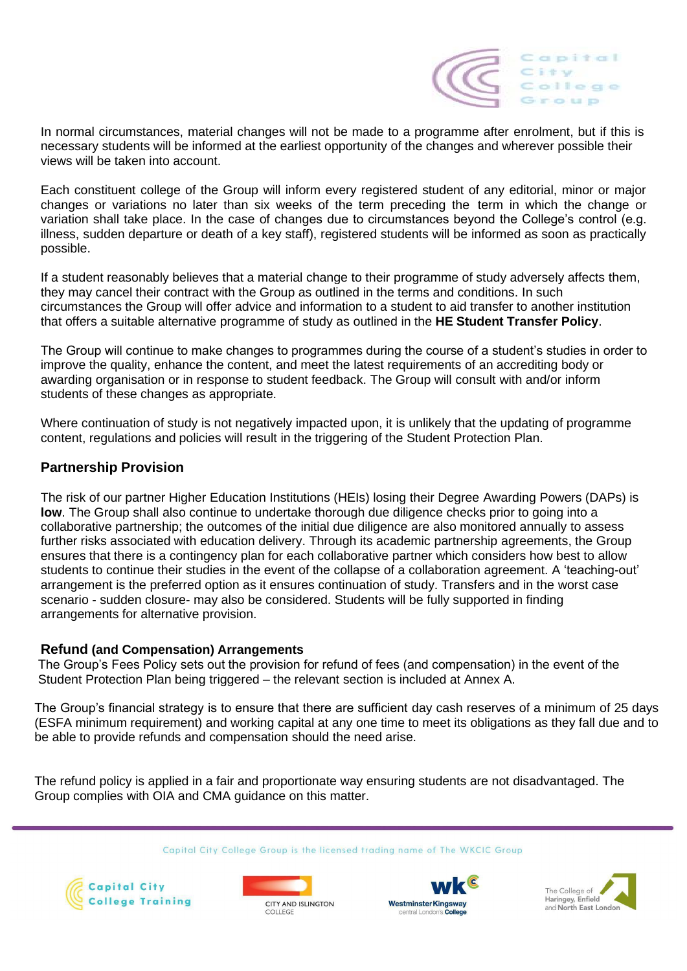

In normal circumstances, material changes will not be made to a programme after enrolment, but if this is necessary students will be informed at the earliest opportunity of the changes and wherever possible their views will be taken into account.

Each constituent college of the Group will inform every registered student of any editorial, minor or major changes or variations no later than six weeks of the term preceding the term in which the change or variation shall take place. In the case of changes due to circumstances beyond the College's control (e.g. illness, sudden departure or death of a key staff), registered students will be informed as soon as practically possible.

If a student reasonably believes that a material change to their programme of study adversely affects them, they may cancel their contract with the Group as outlined in the terms and conditions. In such circumstances the Group will offer advice and information to a student to aid transfer to another institution that offers a suitable alternative programme of study as outlined in the **HE Student Transfer Policy**.

The Group will continue to make changes to programmes during the course of a student's studies in order to improve the quality, enhance the content, and meet the latest requirements of an accrediting body or awarding organisation or in response to student feedback. The Group will consult with and/or inform students of these changes as appropriate.

Where continuation of study is not negatively impacted upon, it is unlikely that the updating of programme content, regulations and policies will result in the triggering of the Student Protection Plan.

### **Partnership Provision**

The risk of our partner Higher Education Institutions (HEIs) losing their Degree Awarding Powers (DAPs) is **low**. The Group shall also continue to undertake thorough due diligence checks prior to going into a collaborative partnership; the outcomes of the initial due diligence are also monitored annually to assess further risks associated with education delivery. Through its academic partnership agreements, the Group ensures that there is a contingency plan for each collaborative partner which considers how best to allow students to continue their studies in the event of the collapse of a collaboration agreement. A 'teaching-out' arrangement is the preferred option as it ensures continuation of study. Transfers and in the worst case scenario - sudden closure- may also be considered. Students will be fully supported in finding arrangements for alternative provision.

#### **Refund (and Compensation) Arrangements**

The Group's Fees Policy sets out the provision for refund of fees (and compensation) in the event of the Student Protection Plan being triggered – the relevant section is included at Annex A.

The Group's financial strategy is to ensure that there are sufficient day cash reserves of a minimum of 25 days (ESFA minimum requirement) and working capital at any one time to meet its obligations as they fall due and to be able to provide refunds and compensation should the need arise.

The refund policy is applied in a fair and proportionate way ensuring students are not disadvantaged. The Group complies with OIA and CMA guidance on this matter.







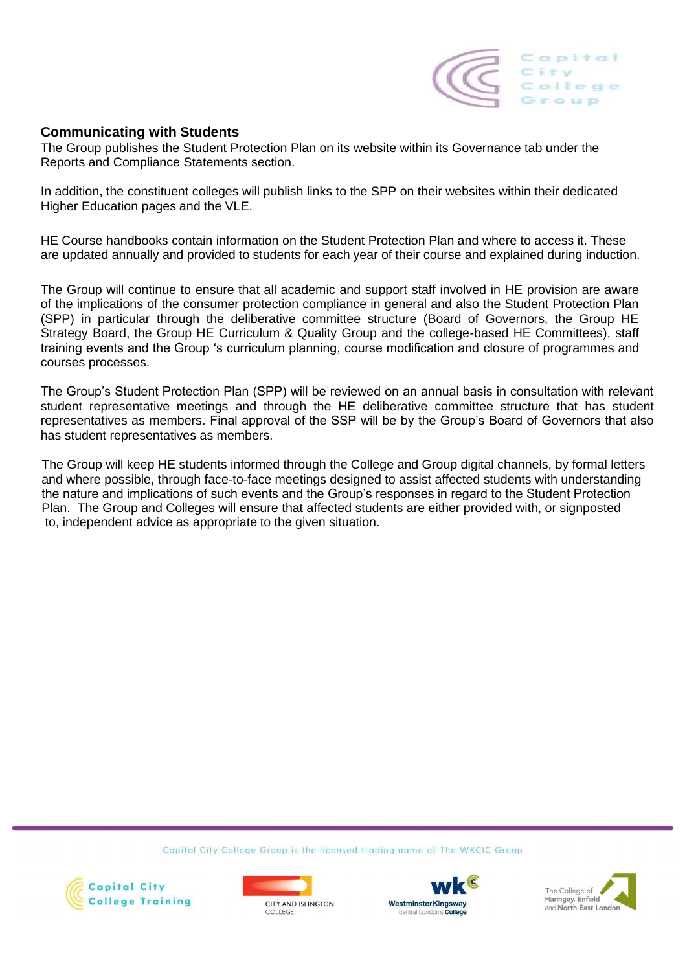

#### **Communicating with Students**

The Group publishes the Student Protection Plan on its website within its Governance tab under the Reports and Compliance Statements section.

In addition, the constituent colleges will publish links to the SPP on their websites within their dedicated Higher Education pages and the VLE.

HE Course handbooks contain information on the Student Protection Plan and where to access it. These are updated annually and provided to students for each year of their course and explained during induction.

The Group will continue to ensure that all academic and support staff involved in HE provision are aware of the implications of the consumer protection compliance in general and also the Student Protection Plan (SPP) in particular through the deliberative committee structure (Board of Governors, the Group HE Strategy Board, the Group HE Curriculum & Quality Group and the college-based HE Committees), staff training events and the Group 's curriculum planning, course modification and closure of programmes and courses processes.

The Group's Student Protection Plan (SPP) will be reviewed on an annual basis in consultation with relevant student representative meetings and through the HE deliberative committee structure that has student representatives as members. Final approval of the SSP will be by the Group's Board of Governors that also has student representatives as members.

The Group will keep HE students informed through the College and Group digital channels, by formal letters and where possible, through face-to-face meetings designed to assist affected students with understanding the nature and implications of such events and the Group's responses in regard to the Student Protection Plan. The Group and Colleges will ensure that affected students are either provided with, or signposted to, independent advice as appropriate to the given situation.